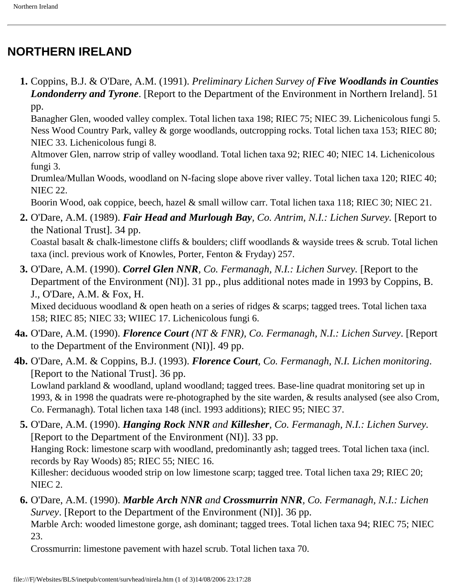## **NORTHERN IRELAND**

 **1.** Coppins, B.J. & O'Dare, A.M. (1991). *Preliminary Lichen Survey of Five Woodlands in Counties Londonderry and Tyrone*. [Report to the Department of the Environment in Northern Ireland]. 51 pp.

Banagher Glen, wooded valley complex. Total lichen taxa 198; RIEC 75; NIEC 39. Lichenicolous fungi 5. Ness Wood Country Park, valley & gorge woodlands, outcropping rocks. Total lichen taxa 153; RIEC 80; NIEC 33. Lichenicolous fungi 8.

Altmover Glen, narrow strip of valley woodland. Total lichen taxa 92; RIEC 40; NIEC 14. Lichenicolous fungi 3.

Drumlea/Mullan Woods, woodland on N-facing slope above river valley. Total lichen taxa 120; RIEC 40; NIEC 22.

Boorin Wood, oak coppice, beech, hazel & small willow carr. Total lichen taxa 118; RIEC 30; NIEC 21.

- **2.** O'Dare, A.M. (1989). *Fair Head and Murlough Bay, Co. Antrim, N.I.: Lichen Survey.* [Report to the National Trust]. 34 pp. Coastal basalt & chalk-limestone cliffs & boulders; cliff woodlands & wayside trees & scrub. Total lichen taxa (incl. previous work of Knowles, Porter, Fenton & Fryday) 257.
- **3.** O'Dare, A.M. (1990). *Correl Glen NNR, Co. Fermanagh, N.I.: Lichen Survey.* [Report to the Department of the Environment (NI)]. 31 pp., plus additional notes made in 1993 by Coppins, B. J., O'Dare, A.M. & Fox, H.

Mixed deciduous woodland & open heath on a series of ridges & scarps; tagged trees. Total lichen taxa 158; RIEC 85; NIEC 33; WIIEC 17. Lichenicolous fungi 6.

- **4a.** O'Dare, A.M. (1990). *Florence Court (NT & FNR), Co. Fermanagh, N.I.: Lichen Survey*. [Report to the Department of the Environment (NI)]. 49 pp.
- **4b.** O'Dare, A.M. & Coppins, B.J. (1993). *Florence Court, Co. Fermanagh, N.I. Lichen monitoring*. [Report to the National Trust]. 36 pp. Lowland parkland & woodland, upland woodland; tagged trees. Base-line quadrat monitoring set up in 1993, & in 1998 the quadrats were re-photographed by the site warden, & results analysed (see also Crom, Co. Fermanagh). Total lichen taxa 148 (incl. 1993 additions); RIEC 95; NIEC 37.
	- **5.** O'Dare, A.M. (1990). *Hanging Rock NNR and Killesher, Co. Fermanagh, N.I.: Lichen Survey.*  [Report to the Department of the Environment (NI)]. 33 pp. Hanging Rock: limestone scarp with woodland, predominantly ash; tagged trees. Total lichen taxa (incl. records by Ray Woods) 85; RIEC 55; NIEC 16. Killesher: deciduous wooded strip on low limestone scarp; tagged tree. Total lichen taxa 29; RIEC 20; NIEC 2.
	- **6.** O'Dare, A.M. (1990). *Marble Arch NNR and Crossmurrin NNR, Co. Fermanagh, N.I.: Lichen Survey*. [Report to the Department of the Environment (NI)]. 36 pp.

Marble Arch: wooded limestone gorge, ash dominant; tagged trees. Total lichen taxa 94; RIEC 75; NIEC 23.

Crossmurrin: limestone pavement with hazel scrub. Total lichen taxa 70.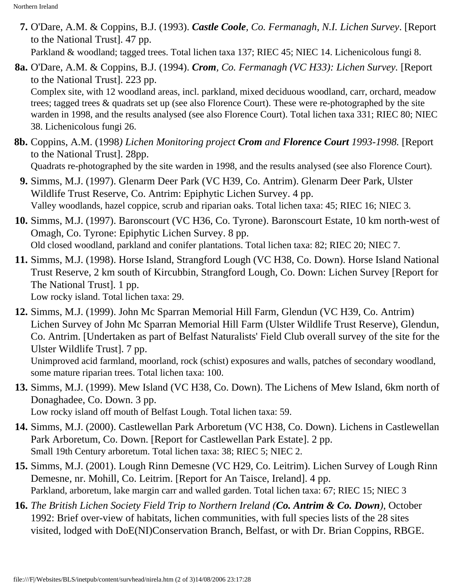- **7.** O'Dare, A.M. & Coppins, B.J. (1993). *Castle Coole, Co. Fermanagh, N.I. Lichen Survey*. [Report to the National Trust]. 47 pp. Parkland & woodland; tagged trees. Total lichen taxa 137; RIEC 45; NIEC 14. Lichenicolous fungi 8.
- **8a.** O'Dare, A.M. & Coppins, B.J. (1994). *Crom, Co. Fermanagh (VC H33): Lichen Survey.* [Report to the National Trust]. 223 pp. Complex site, with 12 woodland areas, incl. parkland, mixed deciduous woodland, carr, orchard, meadow trees; tagged trees & quadrats set up (see also Florence Court). These were re-photographed by the site warden in 1998, and the results analysed (see also Florence Court). Total lichen taxa 331; RIEC 80; NIEC

38. Lichenicolous fungi 26.

**8b.** Coppins, A.M. (1998*) Lichen Monitoring project Crom and Florence Court 1993-1998.* [Report to the National Trust]. 28pp.

Quadrats re-photographed by the site warden in 1998, and the results analysed (see also Florence Court).

- **9.** Simms, M.J. (1997). Glenarm Deer Park (VC H39, Co. Antrim). Glenarm Deer Park, Ulster Wildlife Trust Reserve, Co. Antrim: Epiphytic Lichen Survey. 4 pp. Valley woodlands, hazel coppice, scrub and riparian oaks. Total lichen taxa: 45; RIEC 16; NIEC 3.
- **10.** Simms, M.J. (1997). Baronscourt (VC H36, Co. Tyrone). Baronscourt Estate, 10 km north-west of Omagh, Co. Tyrone: Epiphytic Lichen Survey. 8 pp. Old closed woodland, parkland and conifer plantations. Total lichen taxa: 82; RIEC 20; NIEC 7.
- **11.** Simms, M.J. (1998). Horse Island, Strangford Lough (VC H38, Co. Down). Horse Island National Trust Reserve, 2 km south of Kircubbin, Strangford Lough, Co. Down: Lichen Survey [Report for The National Trust]. 1 pp. Low rocky island. Total lichen taxa: 29.
- **12.** Simms, M.J. (1999). John Mc Sparran Memorial Hill Farm, Glendun (VC H39, Co. Antrim) Lichen Survey of John Mc Sparran Memorial Hill Farm (Ulster Wildlife Trust Reserve), Glendun, Co. Antrim. [Undertaken as part of Belfast Naturalists' Field Club overall survey of the site for the Ulster Wildlife Trust]. 7 pp. Unimproved acid farmland, moorland, rock (schist) exposures and walls, patches of secondary woodland,

some mature riparian trees. Total lichen taxa: 100.

- **13.** Simms, M.J. (1999). Mew Island (VC H38, Co. Down). The Lichens of Mew Island, 6km north of Donaghadee, Co. Down. 3 pp. Low rocky island off mouth of Belfast Lough. Total lichen taxa: 59.
- **14.** Simms, M.J. (2000). Castlewellan Park Arboretum (VC H38, Co. Down). Lichens in Castlewellan Park Arboretum, Co. Down. [Report for Castlewellan Park Estate]. 2 pp. Small 19th Century arboretum. Total lichen taxa: 38; RIEC 5; NIEC 2.
- **15.** Simms, M.J. (2001). Lough Rinn Demesne (VC H29, Co. Leitrim). Lichen Survey of Lough Rinn Demesne, nr. Mohill, Co. Leitrim. [Report for An Taisce, Ireland]. 4 pp. Parkland, arboretum, lake margin carr and walled garden. Total lichen taxa: 67; RIEC 15; NIEC 3
- **16.** *The British Lichen Society Field Trip to Northern Ireland (Co. Antrim & Co. Down)*, October 1992: Brief over-view of habitats, lichen communities, with full species lists of the 28 sites visited, lodged with DoE(NI)Conservation Branch, Belfast, or with Dr. Brian Coppins, RBGE.